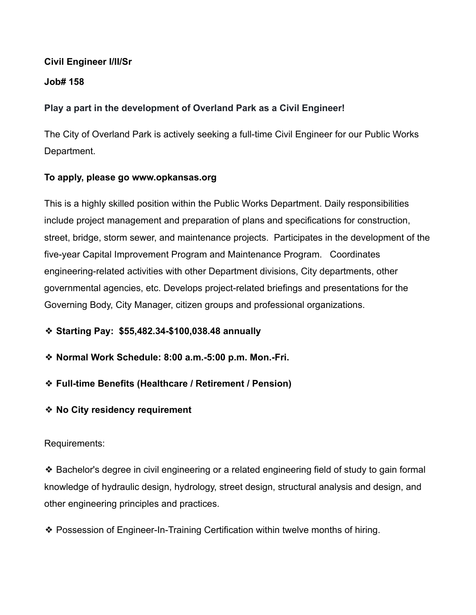#### **Civil Engineer I/II/Sr**

### **Job# 158**

# **Play a part in the development of Overland Park as a Civil Engineer!**

The City of Overland Park is actively seeking a full-time Civil Engineer for our Public Works Department.

# **To apply, please go www.opkansas.org**

This is a highly skilled position within the Public Works Department. Daily responsibilities include project management and preparation of plans and specifications for construction, street, bridge, storm sewer, and maintenance projects. Participates in the development of the five-year Capital Improvement Program and Maintenance Program. Coordinates engineering-related activities with other Department divisions, City departments, other governmental agencies, etc. Develops project-related briefings and presentations for the Governing Body, City Manager, citizen groups and professional organizations.

- ❖ **Starting Pay: \$55,482.34-\$100,038.48 annually**
- ❖ **Normal Work Schedule: 8:00 a.m.-5:00 p.m. Mon.-Fri.**
- ❖ **Full-time Benefits (Healthcare / Retirement / Pension)**
- ❖ **No City residency requirement**

# Requirements:

❖ Bachelor's degree in civil engineering or a related engineering field of study to gain formal knowledge of hydraulic design, hydrology, street design, structural analysis and design, and other engineering principles and practices.

❖ Possession of Engineer-In-Training Certification within twelve months of hiring.